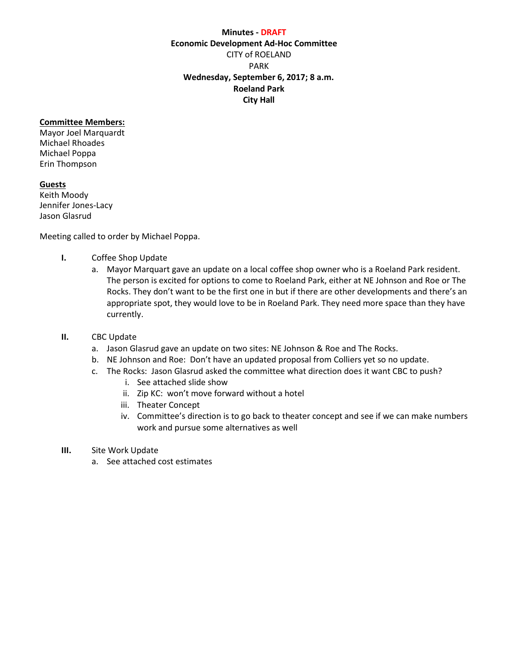## **Minutes - DRAFT Economic Development Ad-Hoc Committee** CITY of ROELAND PARK **Wednesday, September 6, 2017; 8 a.m. Roeland Park City Hall**

## **Committee Members:**

Mayor Joel Marquardt Michael Rhoades Michael Poppa Erin Thompson

#### **Guests**

Keith Moody Jennifer Jones-Lacy Jason Glasrud

Meeting called to order by Michael Poppa.

- **I.** Coffee Shop Update
	- a. Mayor Marquart gave an update on a local coffee shop owner who is a Roeland Park resident. The person is excited for options to come to Roeland Park, either at NE Johnson and Roe or The Rocks. They don't want to be the first one in but if there are other developments and there's an appropriate spot, they would love to be in Roeland Park. They need more space than they have currently.
- **II.** CBC Update
	- a. Jason Glasrud gave an update on two sites: NE Johnson & Roe and The Rocks.
	- b. NE Johnson and Roe: Don't have an updated proposal from Colliers yet so no update.
	- c. The Rocks: Jason Glasrud asked the committee what direction does it want CBC to push?
		- i. See attached slide show
		- ii. Zip KC: won't move forward without a hotel
		- iii. Theater Concept
		- iv. Committee's direction is to go back to theater concept and see if we can make numbers work and pursue some alternatives as well
- **III.** Site Work Update
	- a. See attached cost estimates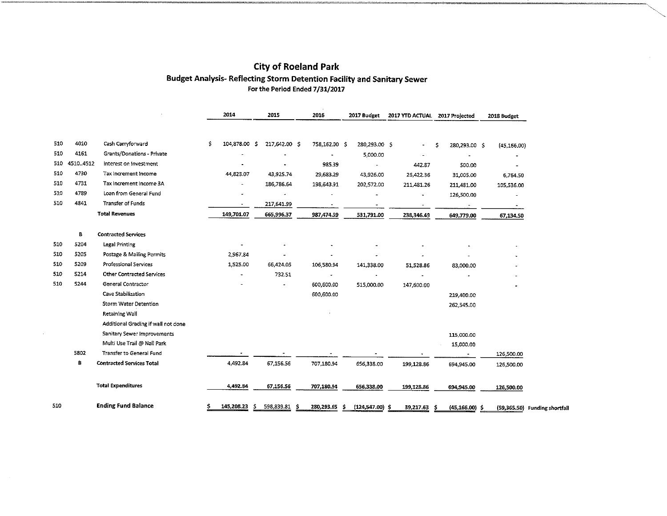# City of Roeland Park Budget Analysis- Reflecting Storm Detention Facility and Sanitary Sewer For the Period Ended 7/31/2017

|      |           |                                     |     | 2014             | 2015          |  | 2016          | 2017 Budget |                    | 2017 YTD ACTUAL 2017 Projected |                        | 2018 Budget   |                              |
|------|-----------|-------------------------------------|-----|------------------|---------------|--|---------------|-------------|--------------------|--------------------------------|------------------------|---------------|------------------------------|
|      |           |                                     |     |                  |               |  |               |             |                    |                                |                        |               |                              |
| 510  | 4010      | Cash Carryforward                   | \$. | 104,878.00 \$    | 217,642.00 \$ |  | 758,162.00 \$ |             | 280,293.00 \$      |                                | 280,293.00 \$<br>S     | (45, 156, 00) |                              |
| 510  | 4161      | Grants/Donations - Private          |     |                  |               |  |               |             | 5,000.00           |                                | $\blacksquare$         |               |                              |
| 510. | 4510.4512 | Interest on Investment              |     |                  |               |  | 985.39        |             | ÷.                 | 442.87                         | 500.00                 |               |                              |
| 510  | 4730      | Tax Increment Income                |     | 44,823.07        | 43,925.74     |  | 29,633.29     |             | 43,926.00          | 26,422.36                      | 31,005.00              | 6,764.50      |                              |
| 510  | 4731      | Tax Increment Income 3A             |     |                  | 186,786.64    |  | 198,643.91    |             | 202,572.00         | 211,481.26                     | 211,481.00             | 105,536.00    |                              |
| 510  | 4789      | Loan from General Fund              |     |                  |               |  |               |             |                    |                                | 126,500.00             |               |                              |
| 510  | 4841      | <b>Transfer of Funds</b>            |     | $\blacksquare$   | 217,641.99    |  |               |             |                    | $\bullet\bullet$               |                        |               |                              |
|      |           | <b>Total Revenues</b>               |     | 149,701.07       | 665,996.37    |  | 987,474.59    |             | 531,791.00         | 238,346.49                     | 649,779.00             | 67,134.50     |                              |
|      | в         | <b>Contracted Services</b>          |     |                  |               |  |               |             |                    |                                |                        |               |                              |
| 510  | 5204      | Legal Printing                      |     |                  |               |  |               |             |                    |                                |                        |               |                              |
| 510  | 5205      | Postage & Mailing Permits           |     | 2,967.84         |               |  |               |             |                    |                                |                        |               |                              |
| 510  | 5209      | Professional Services               |     | 1,525.00         | 66,424.05     |  | 106,580.94    |             | 141,338.00         | 51,528.36                      | 83,000.00              |               |                              |
| 510  | 5214      | Other Contracted Services           |     |                  | 732.51        |  |               |             |                    |                                |                        |               |                              |
| 510  | 5244      | General Contractor                  |     |                  |               |  | 600,600.00    |             | 515,000.00         | 147,600.00                     |                        |               |                              |
|      |           | Cave Stabilization                  |     |                  |               |  | 600,600.00    |             |                    |                                | 219,400.00             |               |                              |
|      |           | Storm Water Detention               |     |                  |               |  |               |             |                    |                                | 262,545.00             |               |                              |
|      |           | Retaining Wall                      |     |                  |               |  |               |             |                    |                                |                        |               |                              |
|      |           | Additional Grading if wall not done |     |                  |               |  |               |             |                    |                                |                        |               |                              |
|      |           | Sanitary Sewer Improvements         |     |                  |               |  |               |             |                    |                                | 115,000.00             |               |                              |
|      |           | Multi Use Trail @ Nall Park         |     |                  |               |  |               |             |                    |                                | 15,000.00              |               |                              |
|      | 5802      | Transfer to General Fund            |     |                  |               |  |               |             |                    |                                |                        | 126,500.00    |                              |
|      | В         | <b>Contracted Services Total</b>    |     | 4,492.84         | 67,156.56     |  | 707,180.94    |             | 656,338.00         | 199,128.86                     | 694,945.00             | 126,500.00    |                              |
|      |           | <b>Total Expenditures</b>           |     | 4,492.84         | 67,156.56     |  | 707,180.94    |             | 656,338.00         | 199,128.86                     | 694,945.00             | 126,500.00    |                              |
| 510  |           | <b>Ending Fund Balance</b>          |     | 145,208.23<br>s. | 598,839.81 \$ |  | 280,293.65    | s           | $(124, 547.00)$ \$ | 39,217.63                      | $(45, 166.00)$ \$<br>S |               | (59,365.50) Funding shortfal |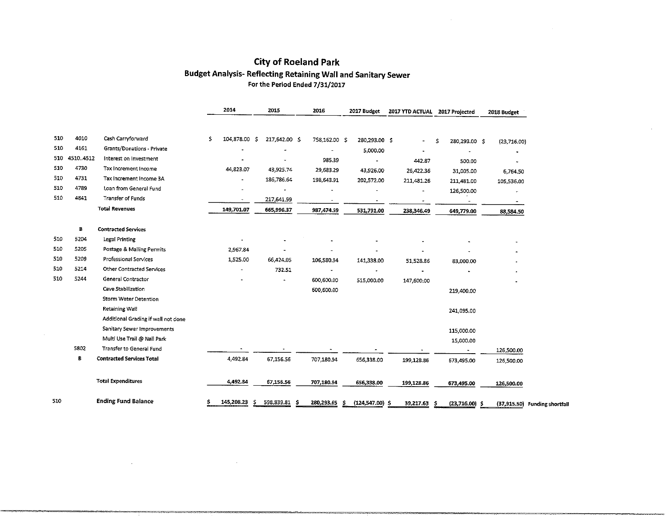# ercy of Roeland Park<br>Budget Analysis- Reflecting Retaining Wall and Sanitary Sewer<br>For the Period Ended 7/31/2017

|     |           |                                     |     | 2014       |    | 2015                     |     | 2016                     |   | 2017 Budget              | 2017 YTD ACTUAL 2017 Projected |     |                          | 2018 Budget  |                          |
|-----|-----------|-------------------------------------|-----|------------|----|--------------------------|-----|--------------------------|---|--------------------------|--------------------------------|-----|--------------------------|--------------|--------------------------|
|     |           |                                     |     |            |    |                          |     |                          |   |                          |                                |     |                          |              |                          |
| 510 | 4010      | Cash Carryforward                   | \$. | 104,878.00 | -S | 217,642.00 \$            |     | 758,162.00 \$            |   | 280,293.00 \$            | $\blacksquare$                 | \$  | 280,293.00 \$            | (23, 716.00) |                          |
| 510 | 4161      | Grants/Donations - Private          |     |            |    |                          |     |                          |   | 5,000.00                 |                                |     |                          |              |                          |
| 510 | 4510.4512 | Interest on Investment              |     |            |    |                          |     | 985.39                   |   | ÷                        | 442.87                         |     | 500.00                   |              |                          |
| 510 | 4730      | Tax Increment Income                |     | 44,823.07  |    | 43,925.74                |     | 29,683.29                |   | 43,926.00                | 26,422.36                      |     | 31,005.00                | 6,764.50     |                          |
| 510 | 4731      | Tax Increment Income 3A             |     |            |    | 186,786.64               |     | 198,643.91               |   | 202,572.00               | 211,481.26                     |     | 211,481.00               | 105,536.00   |                          |
| 510 | 4789      | Loan from General Fund              |     |            |    |                          |     |                          |   |                          |                                |     | 126,500.00               |              |                          |
| 510 | 4841      | Transfer of Funds                   |     | $\bullet$  |    | 217,641.99               |     | $\overline{\phantom{a}}$ |   | $\overline{\phantom{a}}$ | $\overline{\phantom{a}}$       |     | $\overline{\phantom{a}}$ | $\sim$       |                          |
|     |           | <b>Total Revenues</b>               |     | 149,701.07 |    | 665,996.37               |     | 987,474.59               |   | 531,791.00               | 238,346.49                     |     | 649,779.00               | 88,584.50    |                          |
|     | в         | <b>Contracted Services</b>          |     |            |    |                          |     |                          |   |                          |                                |     |                          |              |                          |
| 510 | 5204      | <b>Legal Printing</b>               |     |            |    |                          |     |                          |   |                          |                                |     |                          |              |                          |
| 510 | 5205      | Postage & Mailing Permits           |     | 2,967.84   |    |                          |     |                          |   |                          |                                |     |                          |              |                          |
| 510 | 5209      | <b>Professional Services</b>        |     | 1,525.00   |    | 66,424.05                |     | 106,580.94               |   | 141,338.00               | 51,528.86                      |     | 83,000.00                |              |                          |
| 510 | 5214      | Other Contracted Services           |     |            |    | 732.51                   |     |                          |   |                          |                                |     |                          |              |                          |
| 510 | 5244      | General Contractor                  |     |            |    | $\overline{\phantom{a}}$ |     | 600,600.00               |   | 515,000.00               | 147,600.00                     |     |                          |              |                          |
|     |           | Cave Stabilization                  |     |            |    |                          |     | 600,600.00               |   |                          |                                |     | 219,400.00               |              |                          |
|     |           | Storm Water Detention               |     |            |    |                          |     |                          |   |                          |                                |     |                          |              |                          |
|     |           | Retaining Wall                      |     |            |    |                          |     |                          |   |                          |                                |     | 241,095.00               |              |                          |
|     |           | Additional Grading if wall not done |     |            |    |                          |     |                          |   |                          |                                |     |                          |              |                          |
|     |           | Sanitary Sewer Improvements         |     |            |    |                          |     |                          |   |                          |                                |     | 115,000.00               |              |                          |
|     |           | Multi Use Trail @ Nall Park         |     |            |    |                          |     |                          |   |                          |                                |     | 15,000.00                |              |                          |
|     | 5802      | Transfer to General Fund            |     |            |    |                          |     |                          |   |                          |                                |     | $\bullet$                | 126,500.00   |                          |
|     | В         | <b>Contracted Services Total</b>    |     | 4,492.84   |    | 67,156.56                |     | 707,180.94               |   | 656,338.00               | 199,128.86                     |     | 673,495.00               | 126,500.00   |                          |
|     |           | <b>Total Expenditures</b>           |     | 4,492.34   |    | 67,156.56                |     | 707,180.94               |   | 656,338.00               | 199,128.86                     |     | 673,495.00               | 126,500.00   |                          |
| 510 |           | <b>Ending Fund Balance</b>          | Ś   | 145,208.23 | s  | 598,839.81               | - S | 280,293.65               | s | $(124,547.00)$ \$        | 39,217.63                      | -\$ | $(23,716.00)$ \$         | (37, 915.50) | <b>Funding shortfall</b> |

 $\ddot{\phantom{a}}$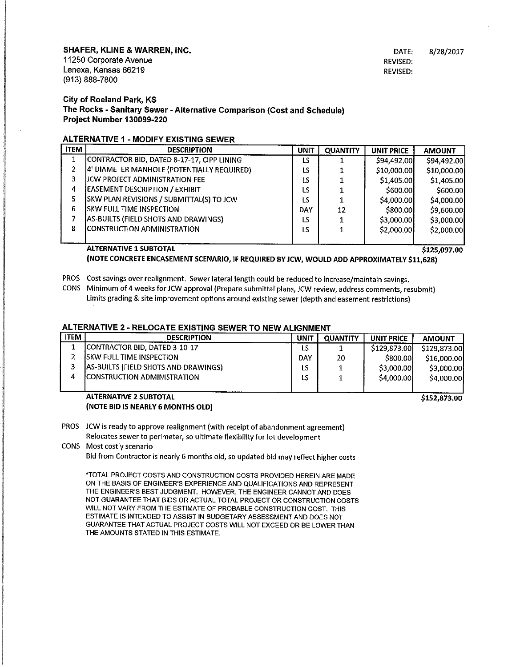SHAFER, KLINE & WARREN, INC.

11250 Corporate Avenue Lenexa, Kansas 66219 (913)888-7800

DATE: REVISED: REVISED; 8/28/2017

City of Roeland Park, KS The Rocks - Sanitary Sewer - Alternative Comparison (Cost and Schedule) Project Number 130099-220

# ALTERNATIVE 1 - MODIFY EXISTING SEWER

| <b>ITEM</b>    | <b>DESCRIPTION</b>                         | <b>UNIT</b> | <b>QUANTITY</b> | UNIT PRICE  | <b>AMOUNT</b> |
|----------------|--------------------------------------------|-------------|-----------------|-------------|---------------|
| 1              | CONTRACTOR BID, DATED 8-17-17, CIPP LINING | LS          |                 | \$94,492.00 | \$94,492.00   |
| $\overline{2}$ | 4' DIAMETER MANHOLE (POTENTIALLY REQUIRED) | LS          |                 | \$10,000.00 | \$10,000.00   |
| з.             | JJCW PROJECT ADMINISTRATION FEE            | LS          |                 | \$1,405,00  | \$1,405.00    |
| 4              | <b>EASEMENT DESCRIPTION / EXHIBIT</b>      | LS          |                 | \$600,00    | \$600.00      |
| 5.             | SKW PLAN REVISIONS / SUBMITTAL(S) TO JCW   | LS          |                 | \$4,000.00] | \$4,000.00    |
| 6              | <b>SKW FULL TIME INSPECTION</b>            | DAY         | 12              | \$800,00    | \$9,600.00    |
|                | AS-BUILTS (FIELD SHOTS AND DRAWINGS)       | LS          |                 | \$3,000.00  | \$3,000.00    |
| 8              | CONSTRUCTION ADMINISTRATION                | LS          |                 | \$2,000.00  | \$2,000.00    |
|                |                                            |             |                 |             |               |
|                | <b>ALTERNATIVE 1 SUBTOTAL</b>              |             |                 |             | \$125,097.00  |

(NOTE CONCRETE ENCASEMENT SCENARIO/ IF REQUIRED BY JCW, WOULD ADD APPROXIMATELY \$11,628)

PROS Cost savings over realignment. Sewer lateral length could be reduced to increase/maintain savings,

CONS Minimum of 4 weeks for JCW approval (Prepare submittal plans, JCW review, address comments, resubmit) Limits grading & site improvement options around existing sewer (depth and easement restrictions)

## ALTERNATIVE 2 - RELOCATE EXISTING SEWER TO NEW ALIGNMENT

| <b>ITEM</b> | <b>DESCRIPTION</b>                   | UNIT       | <b>QUANTITY</b> | UNIT PRICE   | <b>AMOUNT</b> |
|-------------|--------------------------------------|------------|-----------------|--------------|---------------|
|             | CONTRACTOR BID, DATED 3-10-17        | LS         |                 | \$129,873,00 | \$129,873,00  |
|             | <b>ISKW FULL TIME INSPECTION</b>     | <b>DAY</b> | 20              | \$800.00     | \$16,000,00   |
| P           | AS-BUILTS (FIELD SHOTS AND DRAWINGS) | ιs         |                 | \$3,000,00   | \$3,000.00    |
| 4           | CONSTRUCTION ADMINISTRATION          | LS         |                 | \$4,000.00   | \$4,000.00    |
|             |                                      |            |                 |              |               |

### ALTERNATIVE 2 SUBTOTAL (NOTE BID IS NEARLY 6 MONTHS OLD)

\$152,873.00

PROS JCW is ready to approve realignment (with receipt of abandonment agreement) Relocates sewer to perimeter, so ultimate flexibility for lot development

CONS Most costly scenario

Bid from Contractor is nearly 6 months old, so updated bid may reflect higher costs

\*TOTAL PROJECT COSTS AND CONSTRUCTION COSTS PROVIDED HEREIN ARE MADE ON THE BASIS OF ENGINEER'S EXPERIENCE AND QUALIFICATIONS AND REPRESENT THE ENGINEER'S BEST JUDGMENT. HOWEVER, THE ENGINEER CANNOT AND DOES NOT GUARANTEE THAT BIDS OR ACTUAL TOTAL PROJECT OR CONSTRUCTION COSTS WILL NOT VARY FROM THE ESTIMATE OF PROBABLE CONSTRUCTION COST. THIS ESTIMATE IS INTENDED TO ASSIST IN BUDGETARY ASSESSMENT AND DOES NOT GUARANTEE THAT ACTUAL PROJECT COSTS WILL NOT EXCEED OR BE LOWER THAN THE AMOUNTS STATED IN THIS ESTIMATE.